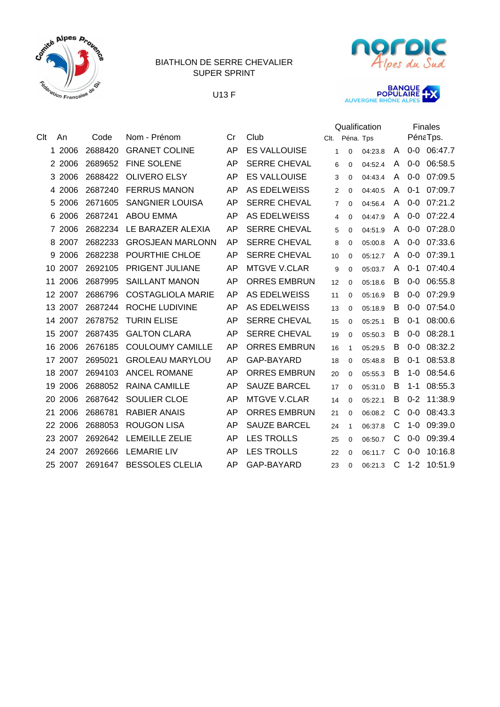







|     |         |         |                          |           |                     | Qualification  |              | <b>Finales</b> |   |         |          |
|-----|---------|---------|--------------------------|-----------|---------------------|----------------|--------------|----------------|---|---------|----------|
| Clt | An      | Code    | Nom - Prénom             | Cr        | Club                | Clt.           | Péna. Tps    |                |   |         | PénaTps. |
|     | 1 2006  | 2688420 | <b>GRANET COLINE</b>     | AP        | <b>ES VALLOUISE</b> | $\mathbf{1}$   | $\Omega$     | 04:23.8        | A | $0-0$   | 06:47.7  |
|     | 2 2006  | 2689652 | <b>FINE SOLENE</b>       | AP        | <b>SERRE CHEVAL</b> | 6              | $\Omega$     | 04:52.4        | A | $0-0$   | 06:58.5  |
|     | 3 2006  | 2688422 | <b>OLIVERO ELSY</b>      | AP        | <b>ES VALLOUISE</b> | 3              | $\Omega$     | 04:43.4        | A | $0-0$   | 07:09.5  |
|     | 4 2006  | 2687240 | <b>FERRUS MANON</b>      | AP        | <b>AS EDELWEISS</b> | $\overline{2}$ | $\Omega$     | 04:40.5        | A | $0 - 1$ | 07:09.7  |
| 5   | 2006    | 2671605 | <b>SANGNIER LOUISA</b>   | AP        | <b>SERRE CHEVAL</b> | 7              | $\Omega$     | 04:56.4        | A | $0-0$   | 07:21.2  |
| 6   | 2006    | 2687241 | <b>ABOU EMMA</b>         | AP        | <b>AS EDELWEISS</b> | 4              | $\Omega$     | 04:47.9        | A | $0-0$   | 07:22.4  |
|     | 7 2006  | 2682234 | LE BARAZER ALEXIA        | AP        | <b>SERRE CHEVAL</b> | 5              | $\Omega$     | 04:51.9        | A | $0-0$   | 07:28.0  |
|     | 8 2007  | 2682233 | <b>GROSJEAN MARLONN</b>  | AP        | <b>SERRE CHEVAL</b> | 8              | $\Omega$     | 05:00.8        | A | $0-0$   | 07:33.6  |
|     | 9 2006  | 2682238 | POURTHIE CHLOE           | AP        | <b>SERRE CHEVAL</b> | 10             | $\Omega$     | 05:12.7        | A | $0 - 0$ | 07:39.1  |
| 10  | 2007    | 2692105 | PRIGENT JULIANE          | AP        | <b>MTGVE V.CLAR</b> | 9              | $\Omega$     | 05:03.7        | A | $0 - 1$ | 07:40.4  |
| 11  | 2006    | 2687995 | <b>SAILLANT MANON</b>    | <b>AP</b> | <b>ORRES EMBRUN</b> | 12             | $\Omega$     | 05:18.6        | В | $0-0$   | 06:55.8  |
|     | 12 2007 | 2686796 | <b>COSTAGLIOLA MARIE</b> | AP        | <b>AS EDELWEISS</b> | 11             | $\Omega$     | 05:16.9        | B | $0 - 0$ | 07:29.9  |
|     | 13 2007 | 2687244 | ROCHE LUDIVINE           | AP        | <b>AS EDELWEISS</b> | 13             | $\Omega$     | 05:18.9        | B | $0 - 0$ | 07:54.0  |
|     | 14 2007 | 2678752 | <b>TURIN ELISE</b>       | AP        | <b>SERRE CHEVAL</b> | 15             | 0            | 05:25.1        | B | $0 - 1$ | 08:00.6  |
| 15  | 2007    | 2687435 | <b>GALTON CLARA</b>      | AP        | <b>SERRE CHEVAL</b> | 19             | $\Omega$     | 05:50.3        | B | $0-0$   | 08:28.1  |
| 16  | 2006    | 2676185 | <b>COULOUMY CAMILLE</b>  | AP        | <b>ORRES EMBRUN</b> | 16             | $\mathbf{1}$ | 05:29.5        | B | $0-0$   | 08:32.2  |
|     | 17 2007 | 2695021 | <b>GROLEAU MARYLOU</b>   | AP        | <b>GAP-BAYARD</b>   | 18             | $\Omega$     | 05:48.8        | B | $0 - 1$ | 08:53.8  |
|     | 18 2007 | 2694103 | <b>ANCEL ROMANE</b>      | AP        | <b>ORRES EMBRUN</b> | 20             | $\Omega$     | 05:55.3        | B | $1 - 0$ | 08:54.6  |
| 19  | 2006    | 2688052 | <b>RAINA CAMILLE</b>     | AP        | <b>SAUZE BARCEL</b> | 17             | 0            | 05:31.0        | B | $1 - 1$ | 08:55.3  |
| 20  | 2006    | 2687642 | SOULIER CLOE             | AP        | <b>MTGVE V.CLAR</b> | 14             | $\Omega$     | 05:22.1        | B | $0 - 2$ | 11:38.9  |
|     | 21 2006 | 2686781 | <b>RABIER ANAIS</b>      | AP        | <b>ORRES EMBRUN</b> | 21             | $\Omega$     | 06:08.2        | C | $0-0$   | 08:43.3  |
|     | 22 2006 | 2688053 | <b>ROUGON LISA</b>       | AP        | <b>SAUZE BARCEL</b> | 24             | $\mathbf{1}$ | 06:37.8        | C | $1-0$   | 09:39.0  |
|     | 23 2007 | 2692642 | <b>LEMEILLE ZELIE</b>    | AP        | <b>LES TROLLS</b>   | 25             | $\Omega$     | 06:50.7        | С | $0-0$   | 09:39.4  |
|     | 24 2007 | 2692666 | <b>LEMARIE LIV</b>       | AP        | <b>LES TROLLS</b>   | 22             | $\Omega$     | 06:11.7        | C | $0 - 0$ | 10:16.8  |
|     | 25 2007 | 2691647 | <b>BESSOLES CLELIA</b>   | AP        | GAP-BAYARD          | 23             | $\Omega$     | 06:21.3        | C | $1 - 2$ | 10:51.9  |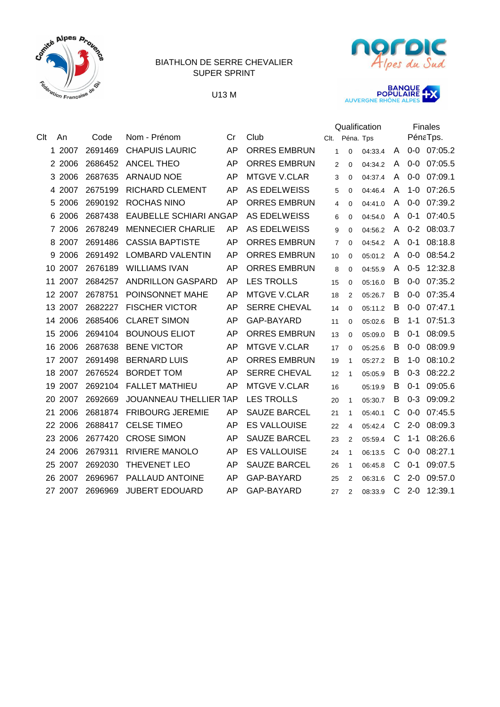







|            |         |                               |    |                     | Qualification  |                |         | <b>Finales</b> |         |             |
|------------|---------|-------------------------------|----|---------------------|----------------|----------------|---------|----------------|---------|-------------|
| Clt<br>An  | Code    | Nom - Prénom                  | Cr | Club                | Clt.           | Péna. Tps      |         |                |         | PénaTps.    |
| 1 2007     | 2691469 | <b>CHAPUIS LAURIC</b>         | AP | <b>ORRES EMBRUN</b> | $\mathbf{1}$   | $\Omega$       | 04:33.4 | A              |         | 0-0 07:05.2 |
| 2 2006     | 2686452 | <b>ANCEL THEO</b>             | AP | <b>ORRES EMBRUN</b> | 2              | 0              | 04:34.2 | A              | $0-0$   | 07:05.5     |
| 2006<br>3  | 2687635 | <b>ARNAUD NOE</b>             | AP | <b>MTGVE V.CLAR</b> | 3              | $\Omega$       | 04:37.4 | A              | $0-0$   | 07:09.1     |
| 2007<br>4  | 2675199 | <b>RICHARD CLEMENT</b>        | AP | <b>AS EDELWEISS</b> | 5              | 0              | 04:46.4 | A              | $1-0$   | 07:26.5     |
| 2006<br>5  | 2690192 | <b>ROCHAS NINO</b>            | AP | <b>ORRES EMBRUN</b> | 4              | 0              | 04:41.0 | A              | $0-0$   | 07:39.2     |
| 2006<br>6  | 2687438 | <b>EAUBELLE SCHIARI ANGAP</b> |    | <b>AS EDELWEISS</b> | 6              | 0              | 04:54.0 | A              | $0-1$   | 07:40.5     |
| 2006<br>7  | 2678249 | <b>MENNECIER CHARLIE</b>      | AP | <b>AS EDELWEISS</b> | 9              | 0              | 04:56.2 | A              | $0 - 2$ | 08:03.7     |
| 2007<br>8  | 2691486 | <b>CASSIA BAPTISTE</b>        | AP | <b>ORRES EMBRUN</b> | $\overline{7}$ | 0              | 04:54.2 | A              | $0 - 1$ | 08:18.8     |
| 2006<br>9  | 2691492 | <b>LOMBARD VALENTIN</b>       | AP | <b>ORRES EMBRUN</b> | 10             | 0              | 05:01.2 | A              | $0-0$   | 08:54.2     |
| 2007<br>10 | 2676189 | <b>WILLIAMS IVAN</b>          | AP | <b>ORRES EMBRUN</b> | 8              | 0              | 04:55.9 | A              | $0 - 5$ | 12:32.8     |
| 11 2007    | 2684257 | <b>ANDRILLON GASPARD</b>      | AP | <b>LES TROLLS</b>   | 15             | 0              | 05:16.0 | В              | $0-0$   | 07:35.2     |
| 12 2007    | 2678751 | POINSONNET MAHE               | AP | <b>MTGVE V.CLAR</b> | 18             | 2              | 05:26.7 | B              | $0-0$   | 07:35.4     |
| 13 2007    | 2682227 | <b>FISCHER VICTOR</b>         | AP | <b>SERRE CHEVAL</b> | 14             | 0              | 05:11.2 | B              | $0 - 0$ | 07:47.1     |
| 14 2006    | 2685406 | <b>CLARET SIMON</b>           | AP | GAP-BAYARD          | 11             | 0              | 05:02.6 | B              | $1 - 1$ | 07:51.3     |
| 2006<br>15 | 2694104 | <b>BOUNOUS ELIOT</b>          | AP | <b>ORRES EMBRUN</b> | 13             | $\Omega$       | 05:09.0 | B              | $0 - 1$ | 08:09.5     |
| 2006<br>16 | 2687638 | <b>BENE VICTOR</b>            | AP | <b>MTGVE V.CLAR</b> | 17             | $\Omega$       | 05:25.6 | B              | $0 - 0$ | 08:09.9     |
| 2007<br>17 | 2691498 | <b>BERNARD LUIS</b>           | AP | <b>ORRES EMBRUN</b> | 19             | $\mathbf{1}$   | 05:27.2 | B              | $1 - 0$ | 08:10.2     |
| 2007<br>18 | 2676524 | <b>BORDET TOM</b>             | AP | <b>SERRE CHEVAL</b> | 12             | $\mathbf{1}$   | 05:05.9 | B              | $0 - 3$ | 08:22.2     |
| 2007<br>19 | 2692104 | <b>FALLET MATHIEU</b>         | AP | <b>MTGVE V.CLAR</b> | 16             |                | 05:19.9 | B              | $0 - 1$ | 09:05.6     |
| 2007<br>20 | 2692669 | <b>JOUANNEAU THELLIER TAP</b> |    | <b>LES TROLLS</b>   | 20             | $\mathbf{1}$   | 05:30.7 | B              | $0 - 3$ | 09:09.2     |
| 21 2006    | 2681874 | <b>FRIBOURG JEREMIE</b>       | AP | <b>SAUZE BARCEL</b> | 21             | 1              | 05:40.1 | С              | $0-0$   | 07:45.5     |
| 22 2006    | 2688417 | <b>CELSE TIMEO</b>            | AP | <b>ES VALLOUISE</b> | 22             | 4              | 05:42.4 | C              | $2 - 0$ | 08:09.3     |
| 23 2006    | 2677420 | <b>CROSE SIMON</b>            | AP | <b>SAUZE BARCEL</b> | 23             | $\overline{2}$ | 05:59.4 | С              | $1 - 1$ | 08:26.6     |
| 24 2006    | 2679311 | <b>RIVIERE MANOLO</b>         | AP | <b>ES VALLOUISE</b> | 24             | $\mathbf{1}$   | 06:13.5 | С              | $0-0$   | 08:27.1     |
| 2007<br>25 | 2692030 | THEVENET LEO                  | AP | <b>SAUZE BARCEL</b> | 26             | 1              | 06:45.8 | C              | $0 - 1$ | 09:07.5     |
| 26 2007    | 2696967 | PALLAUD ANTOINE               | AP | GAP-BAYARD          | 25             | 2              | 06:31.6 | С              | $2 - 0$ | 09:57.0     |
| 27 2007    | 2696969 | <b>JUBERT EDOUARD</b>         | AP | GAP-BAYARD          | 27             | 2              | 08:33.9 | C              | $2 - 0$ | 12:39.1     |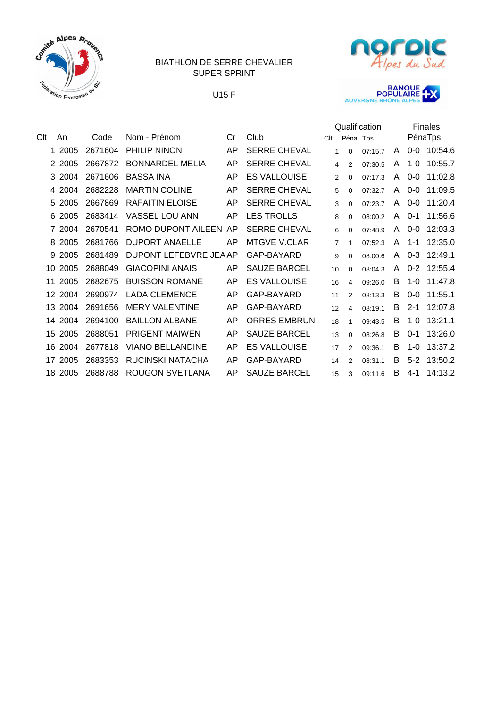







|     |         |         |                         |    |                     |                |                | Qualification |              |         | <b>Finales</b> |
|-----|---------|---------|-------------------------|----|---------------------|----------------|----------------|---------------|--------------|---------|----------------|
| Clt | An      | Code    | Nom - Prénom            | Cr | Club                | Clt.           | Péna. Tps      |               |              |         | PénaTps.       |
|     | 1 2005  | 2671604 | PHILIP NINON            | AP | <b>SERRE CHEVAL</b> | $\mathbf{1}$   | $\Omega$       | 07:15.7       | A            | $0 - 0$ | 10:54.6        |
|     | 2 2005  | 2667872 | <b>BONNARDEL MELIA</b>  | AP | <b>SERRE CHEVAL</b> | 4              | $\overline{2}$ | 07:30.5       | A            | $1 - 0$ | 10:55.7        |
|     | 3 2004  | 2671606 | <b>BASSA INA</b>        | AP | <b>ES VALLOUISE</b> | 2              | 0              | 07:17.3       | A            | $0 - 0$ | 11:02.8        |
|     | 4 2004  | 2682228 | <b>MARTIN COLINE</b>    | AP | <b>SERRE CHEVAL</b> | 5              | 0              | 07:32.7       | A            | $0-0$   | 11:09.5        |
|     | 5 2005  | 2667869 | <b>RAFAITIN ELOISE</b>  | AP | <b>SERRE CHEVAL</b> | 3              | 0              | 07:23.7       | A            | $0-0$   | 11:20.4        |
|     | 6 2005  | 2683414 | <b>VASSEL LOU ANN</b>   | AP | <b>LES TROLLS</b>   | 8              | 0              | 08:00.2       | A            | $0 - 1$ | 11:56.6        |
|     | 7 2004  | 2670541 | ROMO DUPONT AILEEN AP   |    | <b>SERRE CHEVAL</b> | 6              | 0              | 07:48.9       | A            | $0-0$   | 12:03.3        |
|     | 8 2005  | 2681766 | <b>DUPORT ANAELLE</b>   | AP | <b>MTGVE V.CLAR</b> | $\overline{7}$ | $\mathbf{1}$   | 07:52.3       | A            | $1 - 1$ | 12:35.0        |
|     | 9 2005  | 2681489 | DUPONT LEFEBVRE JEAAP   |    | GAP-BAYARD          | 9              | 0              | 08:00.6       | $\mathsf{A}$ | $0 - 3$ | 12:49.1        |
| 10  | 2005    | 2688049 | <b>GIACOPINI ANAIS</b>  | AP | <b>SAUZE BARCEL</b> | 10             | $\Omega$       | 08:04.3       | A            | $0 - 2$ | 12:55.4        |
| 11  | 2005    | 2682675 | <b>BUISSON ROMANE</b>   | AP | <b>ES VALLOUISE</b> | 16             | 4              | 09:26.0       | B            | $1 - 0$ | 11:47.8        |
| 12  | 2004    | 2690974 | <b>LADA CLEMENCE</b>    | AP | GAP-BAYARD          | 11             | $\overline{2}$ | 08:13.3       | B            | $0 - 0$ | 11:55.1        |
| 13  | 2004    | 2691656 | <b>MERY VALENTINE</b>   | AP | GAP-BAYARD          | 12             | 4              | 08:19.1       | B            | $2 - 1$ | 12:07.8        |
|     | 14 2004 | 2694100 | <b>BAILLON ALBANE</b>   | AP | <b>ORRES EMBRUN</b> | 18             | $\mathbf{1}$   | 09:43.5       | B            | $1-0$   | 13:21.1        |
| 15  | 2005    | 2688051 | <b>PRIGENT MAIWEN</b>   | AP | <b>SAUZE BARCEL</b> | 13             | 0              | 08:26.8       | B            | $0 - 1$ | 13:26.0        |
| 16  | 2004    | 2677818 | <b>VIANO BELLANDINE</b> | AP | <b>ES VALLOUISE</b> | 17             | $\mathcal{P}$  | 09:36.1       | в            | $1 - 0$ | 13:37.2        |
| 17  | 2005    | 2683353 | RUCINSKI NATACHA        | AP | GAP-BAYARD          | 14             | 2              | 08:31.1       | B            | $5-2$   | 13:50.2        |
| 18  | 2005    | 2688788 | ROUGON SVETLANA         | AP | <b>SAUZE BARCEL</b> | 15             | 3              | 09:11.6       | B            | $4 - 1$ | 14:13.2        |